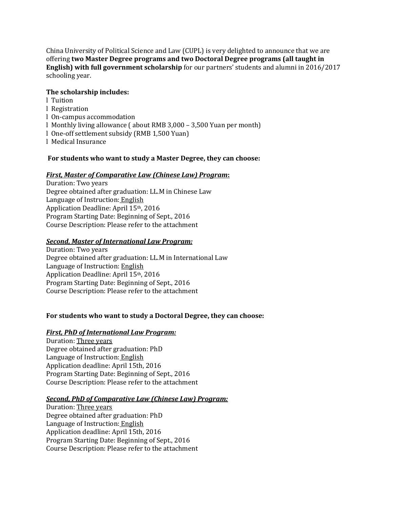China University of Political Science and Law (CUPL) is very delighted to announce that we are offering **two Master Degree programs and two Doctoral Degree programs (all taught in English) with full government scholarship** for our partners' students and alumni in 2016/2017 schooling year.

### **The scholarship includes:**

- l Tuition
- l Registration
- l On-campus accommodation
- l Monthly living allowance ( about RMB 3,000 3,500 Yuan per month)
- l One-off settlement subsidy (RMB 1,500 Yuan)
- l Medical Insurance

### **For students who want to study a Master Degree, they can choose:**

#### *First, Master of Comparative Law (Chinese Law) Program***:**

Duration: Two years Degree obtained after graduation: LL.M in Chinese Law Language of Instruction: English Application Deadline: April 15th, 2016 Program Starting Date: Beginning of Sept., 2016 Course Description: Please refer to the attachment

### *Second, Master of International Law Program:*

Duration: Two years Degree obtained after graduation: LL.M in International Law Language of Instruction: English Application Deadline: April 15th, 2016 Program Starting Date: Beginning of Sept., 2016 Course Description: Please refer to the attachment

# **For students who want to study a Doctoral Degree, they can choose:**

# *First, PhD of International Law Program:*

Duration: Three years Degree obtained after graduation: PhD Language of Instruction: English Application deadline: April 15th, 2016 Program Starting Date: Beginning of Sept., 2016 Course Description: Please refer to the attachment

#### *Second, PhD of Comparative Law (Chinese Law) Program:*

Duration: Three years Degree obtained after graduation: PhD Language of Instruction: English Application deadline: April 15th, 2016 Program Starting Date: Beginning of Sept., 2016 Course Description: Please refer to the attachment